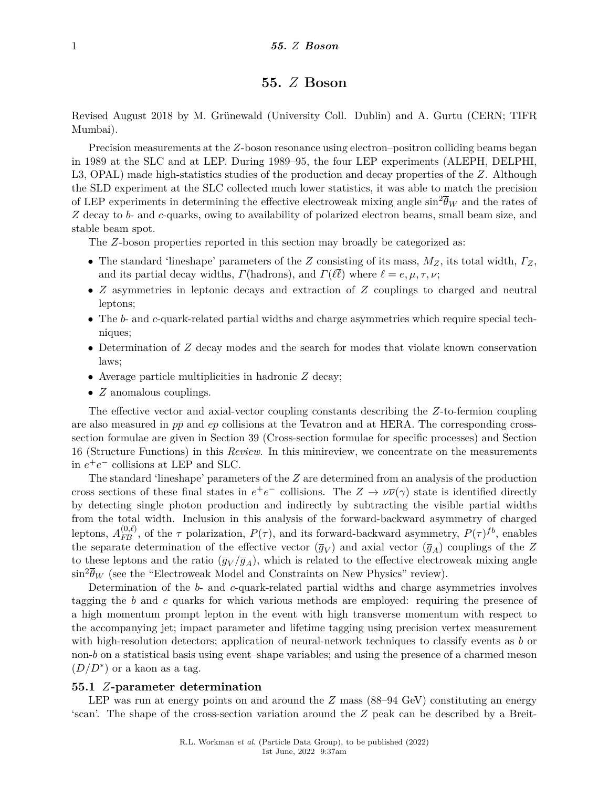# **55.** *Z* **Boson**

Revised August 2018 by M. Grünewald (University Coll. Dublin) and A. Gurtu (CERN; TIFR Mumbai).

Precision measurements at the *Z*-boson resonance using electron–positron colliding beams began in 1989 at the SLC and at LEP. During 1989–95, the four LEP experiments (ALEPH, DELPHI, L3, OPAL) made high-statistics studies of the production and decay properties of the *Z*. Although the SLD experiment at the SLC collected much lower statistics, it was able to match the precision of LEP experiments in determining the effective electroweak mixing angle  $\sin^2 \overline{\theta}_W$  and the rates of *Z* decay to *b*- and *c*-quarks, owing to availability of polarized electron beams, small beam size, and stable beam spot.

The *Z*-boson properties reported in this section may broadly be categorized as:

- The standard 'lineshape' parameters of the *Z* consisting of its mass, *MZ*, its total width, *ΓZ*, and its partial decay widths, *Γ*(hadrons), and *Γ*( $\ell \bar{\ell}$ ) where  $\ell = e, \mu, \tau, \nu$ ;
- *Z* asymmetries in leptonic decays and extraction of *Z* couplings to charged and neutral leptons;
- The *b* and *c*-quark-related partial widths and charge asymmetries which require special techniques;
- Determination of *Z* decay modes and the search for modes that violate known conservation laws;
- Average particle multiplicities in hadronic *Z* decay;
- *Z* anomalous couplings.

The effective vector and axial-vector coupling constants describing the *Z*-to-fermion coupling are also measured in  $p\bar{p}$  and  $ep$  collisions at the Tevatron and at HERA. The corresponding crosssection formulae are given in Section 39 (Cross-section formulae for specific processes) and Section 16 (Structure Functions) in this *Review*. In this minireview, we concentrate on the measurements in  $e^+e^-$  collisions at LEP and SLC.

The standard 'lineshape' parameters of the *Z* are determined from an analysis of the production cross sections of these final states in  $e^+e^-$  collisions. The  $Z \to \nu \bar{\nu}(\gamma)$  state is identified directly by detecting single photon production and indirectly by subtracting the visible partial widths from the total width. Inclusion in this analysis of the forward-backward asymmetry of charged leptons,  $A_{FB}^{(0,\ell)}$ , of the  $\tau$  polarization,  $P(\tau)$ , and its forward-backward asymmetry,  $P(\tau)$ <sup>fb</sup>, enables the separate determination of the effective vector  $(\overline{g}_V)$  and axial vector  $(\overline{g}_A)$  couplings of the *Z* to these leptons and the ratio  $(\overline{g}_V/\overline{g}_A)$ , which is related to the effective electroweak mixing angle  $\sin^2 \overline{\theta}_W$  (see the "Electroweak Model and Constraints on New Physics" review).

Determination of the *b*- and *c*-quark-related partial widths and charge asymmetries involves tagging the *b* and *c* quarks for which various methods are employed: requiring the presence of a high momentum prompt lepton in the event with high transverse momentum with respect to the accompanying jet; impact parameter and lifetime tagging using precision vertex measurement with high-resolution detectors; application of neural-network techniques to classify events as *b* or non-*b* on a statistical basis using event–shape variables; and using the presence of a charmed meson  $(D/D^*)$  or a kaon as a tag.

### **55.1** *Z***-parameter determination**

LEP was run at energy points on and around the *Z* mass (88–94 GeV) constituting an energy 'scan'. The shape of the cross-section variation around the *Z* peak can be described by a Breit-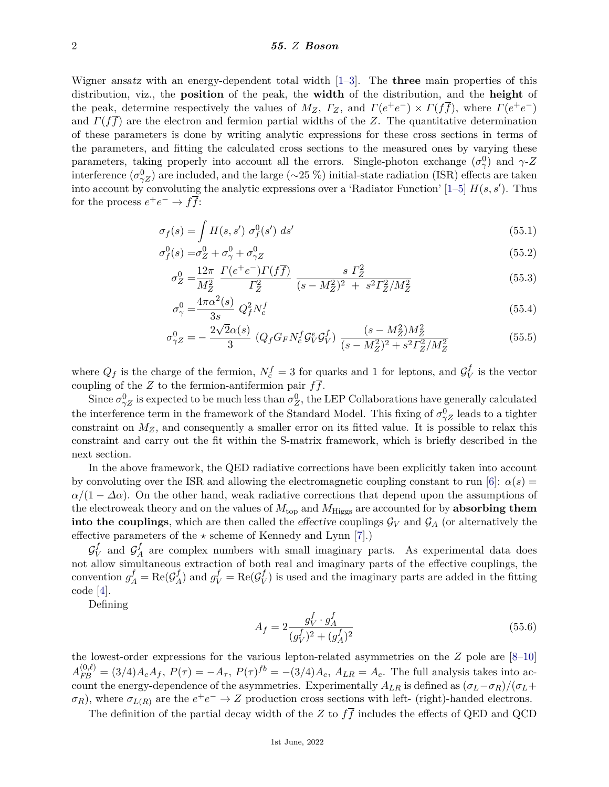### 2 *55. Z Boson*

Wigner ansatz with an energy-dependent total width [\[1–](#page-7-0)[3\]](#page-7-1). The **three** main properties of this distribution, viz., the **position** of the peak, the **width** of the distribution, and the **height** of the peak, determine respectively the values of  $M_Z$ ,  $\Gamma_Z$ , and  $\Gamma(e^+e^-) \times \Gamma(f\overline{f})$ , where  $\Gamma(e^+e^-)$ and  $\Gamma(f\bar{f})$  are the electron and fermion partial widths of the *Z*. The quantitative determination of these parameters is done by writing analytic expressions for these cross sections in terms of the parameters, and fitting the calculated cross sections to the measured ones by varying these parameters, taking properly into account all the errors. Single-photon exchange  $(\sigma_{\gamma}^0)$  and  $\gamma$ -*Z* interference  $(\sigma_{\gamma Z}^0)$  are included, and the large (∼25 %) initial-state radiation (ISR) effects are taken into account by convoluting the analytic expressions over a 'Radiator Function'  $[1-5]$  $[1-5]$   $H(s, s')$ . Thus for the process  $e^+e^- \to f\overline{f}$ :

$$
\sigma_f(s) = \int H(s, s') \sigma_f^0(s') ds' \tag{55.1}
$$

$$
\sigma_f^0(s) = \sigma_Z^0 + \sigma_\gamma^0 + \sigma_{\gamma Z}^0 \tag{55.2}
$$

$$
\sigma_Z^0 = \frac{12\pi}{M_Z^2} \frac{\Gamma(e^+e^-)\Gamma(f\overline{f})}{\Gamma_Z^2} \frac{s \ \Gamma_Z^2}{(s - M_Z^2)^2 + s^2 \Gamma_Z^2/M_Z^2} \tag{55.3}
$$

$$
\sigma_{\gamma}^{0} = \frac{4\pi\alpha^{2}(s)}{3s} Q_{f}^{2} N_{c}^{f}
$$
\n
$$
(55.4)
$$

$$
\sigma_{\gamma Z}^{0} = -\frac{2\sqrt{2}\alpha(s)}{3} \left( Q_f G_F N_c^f Q_V^e Q_V^f \right) \frac{(s - M_Z^2) M_Z^2}{(s - M_Z^2)^2 + s^2 \Gamma_Z^2 / M_Z^2}
$$
(55.5)

where  $Q_f$  is the charge of the fermion,  $N_c^f = 3$  for quarks and 1 for leptons, and  $\mathcal{G}_V^f$  $V$  is the vector coupling of the *Z* to the fermion-antifermion pair *ff*.

Since  $\sigma_{\gamma Z}^0$  is expected to be much less than  $\sigma_Z^0$ , the LEP Collaborations have generally calculated the interference term in the framework of the Standard Model. This fixing of  $\sigma_{\gamma Z}^0$  leads to a tighter constraint on  $M_Z$ , and consequently a smaller error on its fitted value. It is possible to relax this constraint and carry out the fit within the S-matrix framework, which is briefly described in the next section.

In the above framework, the QED radiative corrections have been explicitly taken into account by convoluting over the ISR and allowing the electromagnetic coupling constant to run [\[6\]](#page-8-0):  $\alpha(s)$  =  $\alpha/(1 - \Delta\alpha)$ . On the other hand, weak radiative corrections that depend upon the assumptions of the electroweak theory and on the values of  $M_{\text{top}}$  and  $M_{\text{Higgs}}$  are accounted for by **absorbing them into the couplings**, which are then called the *effective* couplings  $\mathcal{G}_V$  and  $\mathcal{G}_A$  (or alternatively the effective parameters of the  $\star$  scheme of Kennedy and Lynn [\[7\]](#page-8-1).)

 $\mathcal{G}^f_{V}$  $\mathcal{G}_{V}^{f}$  and  $\mathcal{G}_{A}^{f}$  $A_A^J$  are complex numbers with small imaginary parts. As experimental data does not allow simultaneous extraction of both real and imaginary parts of the effective couplings, the convention  $g_A^f = \text{Re}(\mathcal{G}_A^f)$  $g_V^f$  and  $g_V^f$  = Re( $\mathcal{G}_V^f$  $V$ ) is used and the imaginary parts are added in the fitting code [\[4\]](#page-7-3).

Defining

$$
A_f = 2 \frac{g_V^f \cdot g_A^f}{(g_V^f)^2 + (g_A^f)^2} \tag{55.6}
$$

the lowest-order expressions for the various lepton-related asymmetries on the *Z* pole are [\[8–](#page-8-2)[10\]](#page-8-3)  $A_{FB}^{(0,\ell)} = (3/4)A_eA_f, P(\tau) = -A_{\tau}, P(\tau)^{fb} = -(3/4)A_e, A_{LR} = A_e.$  The full analysis takes into account the energy-dependence of the asymmetries. Experimentally  $A_{LR}$  is defined as  $(\sigma_L - \sigma_R)/(\sigma_L +$  $\sigma_R$ ), where  $\sigma_{L(R)}$  are the  $e^+e^- \to Z$  production cross sections with left- (right)-handed electrons.

The definition of the partial decay width of the *Z* to  $f\overline{f}$  includes the effects of QED and QCD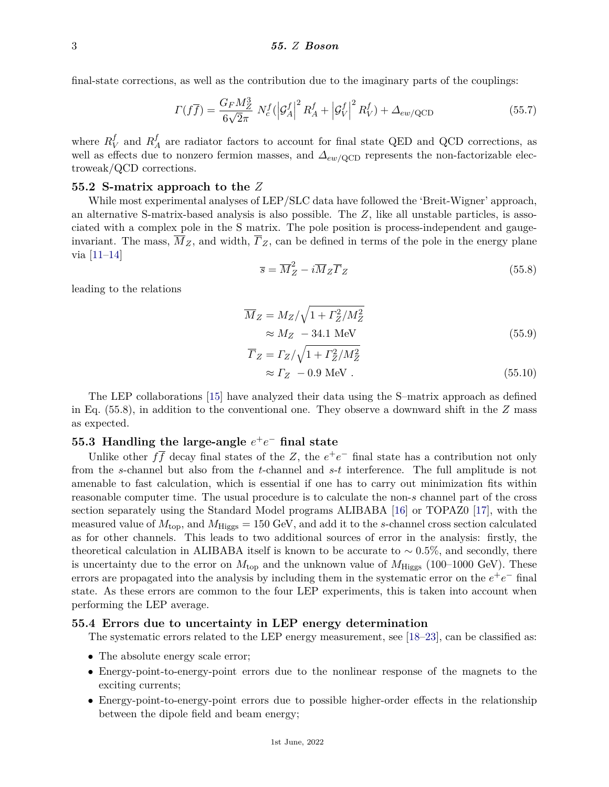final-state corrections, as well as the contribution due to the imaginary parts of the couplings:

$$
\Gamma(f\overline{f}) = \frac{G_F M_Z^3}{6\sqrt{2}\pi} N_c^f (|\mathcal{G}_A^f|^2 R_A^f + |\mathcal{G}_V^f|^2 R_V^f) + \Delta_{ew/QCD}
$$
(55.7)

where  $R_{\rm V}^f$  $V$ <sup>*g*</sup> and  $R^f$ <sub>*f*</sub>  $_A^I$  are radiator factors to account for final state QED and QCD corrections, as well as effects due to nonzero fermion masses, and *∆ew/*QCD represents the non-factorizable electroweak/QCD corrections.

#### **55.2 S-matrix approach to the** *Z*

While most experimental analyses of LEP/SLC data have followed the 'Breit-Wigner' approach, an alternative S-matrix-based analysis is also possible. The *Z*, like all unstable particles, is associated with a complex pole in the S matrix. The pole position is process-independent and gaugeinvariant. The mass,  $\overline{M}_Z$ , and width,  $\overline{F}_Z$ , can be defined in terms of the pole in the energy plane via [\[11](#page-8-4)[–14\]](#page-8-5)

$$
\overline{s} = \overline{M}_Z^2 - i\overline{M}_Z \overline{\Gamma}_Z \tag{55.8}
$$

leading to the relations

$$
\overline{M}_Z = M_Z / \sqrt{1 + \Gamma_Z^2 / M_Z^2}
$$
  
\n
$$
\approx M_Z - 34.1 \text{ MeV}
$$
 (55.9)

$$
\overline{\Gamma}_Z = \Gamma_Z / \sqrt{1 + \Gamma_Z^2 / M_Z^2}
$$
\n
$$
\approx \Gamma_Z - 0.9 \text{ MeV}. \tag{55.10}
$$

The LEP collaborations [\[15\]](#page-8-6) have analyzed their data using the S–matrix approach as defined in Eq. (55.8), in addition to the conventional one. They observe a downward shift in the *Z* mass as expected.

# **55.3** Handling the large-angle  $e^+e^-$  final state

Unlike other  $f\bar{f}$  decay final states of the *Z*, the  $e^+e^-$  final state has a contribution not only from the *s*-channel but also from the *t*-channel and *s*-*t* interference. The full amplitude is not amenable to fast calculation, which is essential if one has to carry out minimization fits within reasonable computer time. The usual procedure is to calculate the non-*s* channel part of the cross section separately using the Standard Model programs ALIBABA [\[16\]](#page-8-7) or TOPAZ0 [\[17\]](#page-8-8), with the measured value of  $M_{\text{top}}$ , and  $M_{\text{Higgs}} = 150 \text{ GeV}$ , and add it to the *s*-channel cross section calculated as for other channels. This leads to two additional sources of error in the analysis: firstly, the theoretical calculation in ALIBABA itself is known to be accurate to  $\sim 0.5\%$ , and secondly, there is uncertainty due to the error on  $M_{\text{top}}$  and the unknown value of  $M_{\text{Higgs}}$  (100–1000 GeV). These errors are propagated into the analysis by including them in the systematic error on the  $e^+e^-$  final state. As these errors are common to the four LEP experiments, this is taken into account when performing the LEP average.

### **55.4 Errors due to uncertainty in LEP energy determination**

The systematic errors related to the LEP energy measurement, see [\[18–](#page-8-9)[23\]](#page-8-10), can be classified as:

- The absolute energy scale error;
- Energy-point-to-energy-point errors due to the nonlinear response of the magnets to the exciting currents;
- Energy-point-to-energy-point errors due to possible higher-order effects in the relationship between the dipole field and beam energy;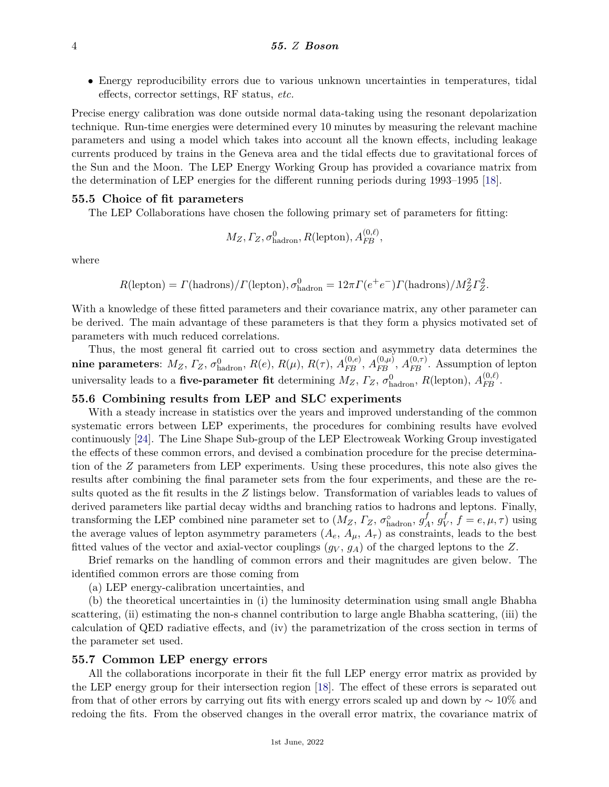• Energy reproducibility errors due to various unknown uncertainties in temperatures, tidal effects, corrector settings, RF status, *etc.*

Precise energy calibration was done outside normal data-taking using the resonant depolarization technique. Run-time energies were determined every 10 minutes by measuring the relevant machine parameters and using a model which takes into account all the known effects, including leakage currents produced by trains in the Geneva area and the tidal effects due to gravitational forces of the Sun and the Moon. The LEP Energy Working Group has provided a covariance matrix from the determination of LEP energies for the different running periods during 1993–1995 [\[18\]](#page-8-9).

#### **55.5 Choice of fit parameters**

The LEP Collaborations have chosen the following primary set of parameters for fitting:

$$
M_Z, \Gamma_Z, \sigma_{\text{hadron}}^0, R(\text{lepton}), A_{FB}^{(0,\ell)},
$$

where

$$
R(\text{lepton}) = \Gamma(\text{hadrons}) / \Gamma(\text{lepton}), \sigma_{\text{hadron}}^0 = 12\pi \Gamma(e^+e^-) \Gamma(\text{hadrons}) / M_Z^2 \Gamma_Z^2.
$$

With a knowledge of these fitted parameters and their covariance matrix, any other parameter can be derived. The main advantage of these parameters is that they form a physics motivated set of parameters with much reduced correlations.

Thus, the most general fit carried out to cross section and asymmetry data determines the nine parameters:  $M_Z$ ,  $\varGamma_Z$ ,  $\sigma_{\text{hadron}}^0$ ,  $R(e)$ ,  $R(\mu)$ ,  $R(\tau)$ ,  $A_{FB}^{(0,e)}$ ,  $A_{FB}^{(0,\mu)}$ ,  $A_{FB}^{(0,\tau)}$ . Assumption of lepton universality leads to a **five-parameter fit** determining  $M_Z$ ,  $\Gamma_Z$ ,  $\sigma_{\text{hadron}}^0$ ,  $R(\text{lepton})$ ,  $A_{FB}^{(0,\ell)}$ .

## **55.6 Combining results from LEP and SLC experiments**

With a steady increase in statistics over the years and improved understanding of the common systematic errors between LEP experiments, the procedures for combining results have evolved continuously [\[24\]](#page-8-11). The Line Shape Sub-group of the LEP Electroweak Working Group investigated the effects of these common errors, and devised a combination procedure for the precise determination of the *Z* parameters from LEP experiments. Using these procedures, this note also gives the results after combining the final parameter sets from the four experiments, and these are the results quoted as the fit results in the *Z* listings below. Transformation of variables leads to values of derived parameters like partial decay widths and branching ratios to hadrons and leptons. Finally, transforming the LEP combined nine parameter set to  $(M_Z, \Gamma_Z, \sigma_{\text{hadron}}^{\circ}, g_{\text{A}}^f)$  $A^f, g_V^f$  $V, f = e, \mu, \tau$  using the average values of lepton asymmetry parameters  $(A_e, A_\mu, A_\tau)$  as constraints, leads to the best fitted values of the vector and axial-vector couplings  $(g_V, g_A)$  of the charged leptons to the Z.

Brief remarks on the handling of common errors and their magnitudes are given below. The identified common errors are those coming from

(a) LEP energy-calibration uncertainties, and

(b) the theoretical uncertainties in (i) the luminosity determination using small angle Bhabha scattering, (ii) estimating the non-s channel contribution to large angle Bhabha scattering, (iii) the calculation of QED radiative effects, and (iv) the parametrization of the cross section in terms of the parameter set used.

### **55.7 Common LEP energy errors**

All the collaborations incorporate in their fit the full LEP energy error matrix as provided by the LEP energy group for their intersection region [\[18\]](#page-8-9). The effect of these errors is separated out from that of other errors by carrying out fits with energy errors scaled up and down by  $\sim 10\%$  and redoing the fits. From the observed changes in the overall error matrix, the covariance matrix of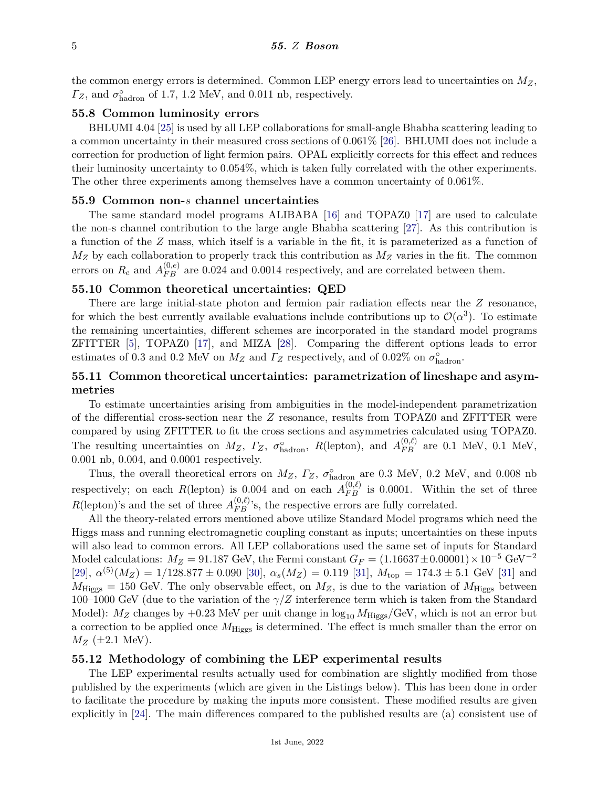the common energy errors is determined. Common LEP energy errors lead to uncertainties on *MZ*,  $\Gamma_Z$ , and  $\sigma_{\text{hadron}}^{\circ}$  of 1.7, 1.2 MeV, and 0.011 nb, respectively.

## **55.8 Common luminosity errors**

BHLUMI 4.04 [\[25\]](#page-8-12) is used by all LEP collaborations for small-angle Bhabha scattering leading to a common uncertainty in their measured cross sections of 0.061% [\[26\]](#page-8-13). BHLUMI does not include a correction for production of light fermion pairs. OPAL explicitly corrects for this effect and reduces their luminosity uncertainty to 0.054%, which is taken fully correlated with the other experiments. The other three experiments among themselves have a common uncertainty of 0.061%.

#### **55.9 Common non-***s* **channel uncertainties**

The same standard model programs ALIBABA [\[16\]](#page-8-7) and TOPAZ0 [\[17\]](#page-8-8) are used to calculate the non-s channel contribution to the large angle Bhabha scattering [\[27\]](#page-8-14). As this contribution is a function of the *Z* mass, which itself is a variable in the fit, it is parameterized as a function of  $M_Z$  by each collaboration to properly track this contribution as  $M_Z$  varies in the fit. The common errors on  $R_e$  and  $A_{FB}^{(0,e)}$  are 0.024 and 0.0014 respectively, and are correlated between them.

## **55.10 Common theoretical uncertainties: QED**

There are large initial-state photon and fermion pair radiation effects near the *Z* resonance, for which the best currently available evaluations include contributions up to  $\mathcal{O}(\alpha^3)$ . To estimate the remaining uncertainties, different schemes are incorporated in the standard model programs ZFITTER [\[5\]](#page-7-2), TOPAZ0 [\[17\]](#page-8-8), and MIZA [\[28\]](#page-8-15). Comparing the different options leads to error estimates of 0.3 and 0.2 MeV on  $M_Z$  and  $\Gamma_Z$  respectively, and of 0.02% on  $\sigma_{\text{hadron}}^{\circ}$ .

# **55.11 Common theoretical uncertainties: parametrization of lineshape and asymmetries**

To estimate uncertainties arising from ambiguities in the model-independent parametrization of the differential cross-section near the *Z* resonance, results from TOPAZ0 and ZFITTER were compared by using ZFITTER to fit the cross sections and asymmetries calculated using TOPAZ0. The resulting uncertainties on  $M_Z$ ,  $\Gamma_Z$ ,  $\sigma_{\text{hadron}}^{\circ}$ ,  $R(\text{lepton})$ , and  $A_{FB}^{(0,\ell)}$  are 0.1 MeV, 0.1 MeV, 0.001 nb, 0.004, and 0.0001 respectively.

Thus, the overall theoretical errors on  $M_Z$ ,  $\Gamma_Z$ ,  $\sigma_{\text{hadron}}^{\circ}$  are 0.3 MeV, 0.2 MeV, and 0.008 nb respectively; on each *R*(lepton) is 0.004 and on each  $A_{FB}^{(0,\ell)}$  is 0.0001. Within the set of three  $R(\text{lepton})$ 's and the set of three  $A_{FB}^{(0,\ell)}$ 's, the respective errors are fully correlated.

All the theory-related errors mentioned above utilize Standard Model programs which need the Higgs mass and running electromagnetic coupling constant as inputs; uncertainties on these inputs will also lead to common errors. All LEP collaborations used the same set of inputs for Standard Model calculations:  $M_Z = 91.187$  GeV, the Fermi constant  $G_F = (1.16637 \pm 0.00001) \times 10^{-5}$  GeV<sup>-2</sup>  $[29]$ ,  $\alpha^{(5)}(M_Z) = 1/128.877 \pm 0.090$  [\[30\]](#page-8-17),  $\alpha_s(M_Z) = 0.119$  [\[31\]](#page-8-18),  $M_{\text{top}} = 174.3 \pm 5.1$  GeV [31] and  $M_{\text{Higgs}} = 150 \text{ GeV}$ . The only observable effect, on  $M_Z$ , is due to the variation of  $M_{\text{Higgs}}$  between 100–1000 GeV (due to the variation of the *γ/Z* interference term which is taken from the Standard Model):  $M_Z$  changes by +0.23 MeV per unit change in  $\log_{10} M_{\text{Higgs}}/\text{GeV}$ , which is not an error but a correction to be applied once  $M_{\text{Higgs}}$  is determined. The effect is much smaller than the error on  $M_Z$  ( $\pm 2.1$  MeV).

### **55.12 Methodology of combining the LEP experimental results**

The LEP experimental results actually used for combination are slightly modified from those published by the experiments (which are given in the Listings below). This has been done in order to facilitate the procedure by making the inputs more consistent. These modified results are given explicitly in [\[24\]](#page-8-11). The main differences compared to the published results are (a) consistent use of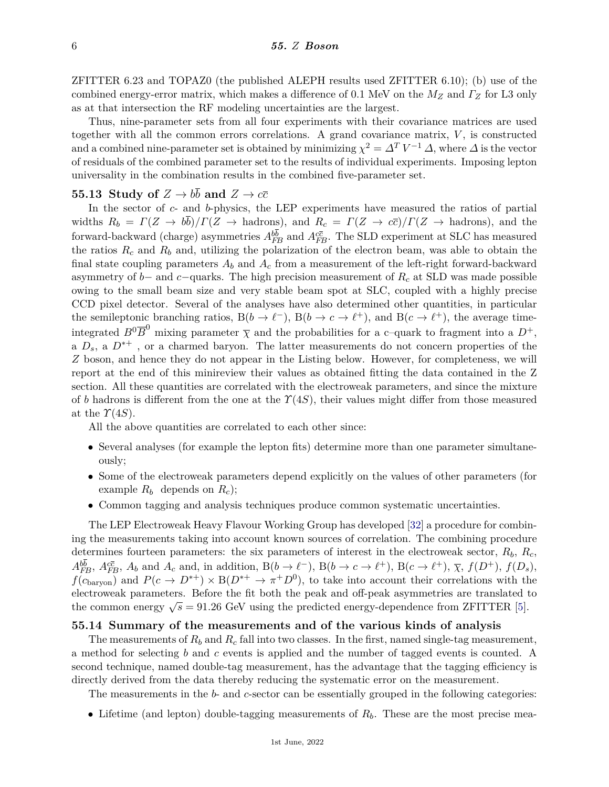ZFITTER 6.23 and TOPAZ0 (the published ALEPH results used ZFITTER 6.10); (b) use of the combined energy-error matrix, which makes a difference of 0.1 MeV on the *M<sup>Z</sup>* and *Γ<sup>Z</sup>* for L3 only as at that intersection the RF modeling uncertainties are the largest.

Thus, nine-parameter sets from all four experiments with their covariance matrices are used together with all the common errors correlations. A grand covariance matrix, *V* , is constructed and a combined nine-parameter set is obtained by minimizing  $\chi^2 = \Delta^T V^{-1} \Delta$ , where  $\Delta$  is the vector of residuals of the combined parameter set to the results of individual experiments. Imposing lepton universality in the combination results in the combined five-parameter set.

# **55.13 Study of**  $Z \rightarrow b\overline{b}$  and  $Z \rightarrow c\overline{c}$

In the sector of *c*- and *b*-physics, the LEP experiments have measured the ratios of partial widths  $R_b = \Gamma(Z \to b\bar{b})/\Gamma(Z \to \text{hadrons})$ , and  $R_c = \Gamma(Z \to c\bar{c})/\Gamma(Z \to \text{hadrons})$ , and the forward-backward (charge) asymmetries  $A_{FB}^{bb}$  and  $A_{FB}^{c\bar{c}}$ . The SLD experiment at SLC has measured the ratios  $R_c$  and  $R_b$  and, utilizing the polarization of the electron beam, was able to obtain the final state coupling parameters  $A_b$  and  $A_c$  from a measurement of the left-right forward-backward asymmetry of *b*− and *c*−quarks. The high precision measurement of *R<sup>c</sup>* at SLD was made possible owing to the small beam size and very stable beam spot at SLC, coupled with a highly precise CCD pixel detector. Several of the analyses have also determined other quantities, in particular the semileptonic branching ratios,  $B(b \to \ell^-)$ ,  $B(b \to c \to \ell^+)$ , and  $B(c \to \ell^+)$ , the average timeintegrated  $B^0 \overline{B}^0$  mixing parameter  $\overline{\chi}$  and the probabilities for a c-quark to fragment into a  $D^+$ , a  $D_s$ , a  $D^{*+}$ , or a charmed baryon. The latter measurements do not concern properties of the *Z* boson, and hence they do not appear in the Listing below. However, for completeness, we will report at the end of this minireview their values as obtained fitting the data contained in the Z section. All these quantities are correlated with the electroweak parameters, and since the mixture of *b* hadrons is different from the one at the *Υ*(4*S*), their values might differ from those measured at the  $\Upsilon(4S)$ .

All the above quantities are correlated to each other since:

- Several analyses (for example the lepton fits) determine more than one parameter simultaneously;
- Some of the electroweak parameters depend explicitly on the values of other parameters (for example  $R_b$  depends on  $R_c$ );
- Common tagging and analysis techniques produce common systematic uncertainties.

The LEP Electroweak Heavy Flavour Working Group has developed [\[32\]](#page-8-19) a procedure for combining the measurements taking into account known sources of correlation. The combining procedure determines fourteen parameters: the six parameters of interest in the electroweak sector,  $R_b$ ,  $R_c$ ,  $A_{FB}^{bb}, A_{FB}^{c\bar{c}}, A_b$  and  $A_c$  and, in addition,  $B(b \to e^-)$ ,  $B(b \to c \to \ell^+)$ ,  $B(c \to \ell^+)$ ,  $\bar{\chi}$ ,  $f(D^+)$ ,  $f(D_s)$ ,  $f(c_{\text{baryon}})$  and  $P(c \to D^{*+}) \times B(D^{*+} \to \pi^+ D^0)$ , to take into account their correlations with the electroweak parameters. Before the fit both the peak and off-peak asymmetries are translated to the common energy  $\sqrt{s} = 91.26$  GeV using the predicted energy-dependence from ZFITTER [\[5\]](#page-7-2).

## **55.14 Summary of the measurements and of the various kinds of analysis**

The measurements of  $R_b$  and  $R_c$  fall into two classes. In the first, named single-tag measurement, a method for selecting *b* and *c* events is applied and the number of tagged events is counted. A second technique, named double-tag measurement, has the advantage that the tagging efficiency is directly derived from the data thereby reducing the systematic error on the measurement.

The measurements in the *b*- and *c*-sector can be essentially grouped in the following categories:

• Lifetime (and lepton) double-tagging measurements of *Rb*. These are the most precise mea-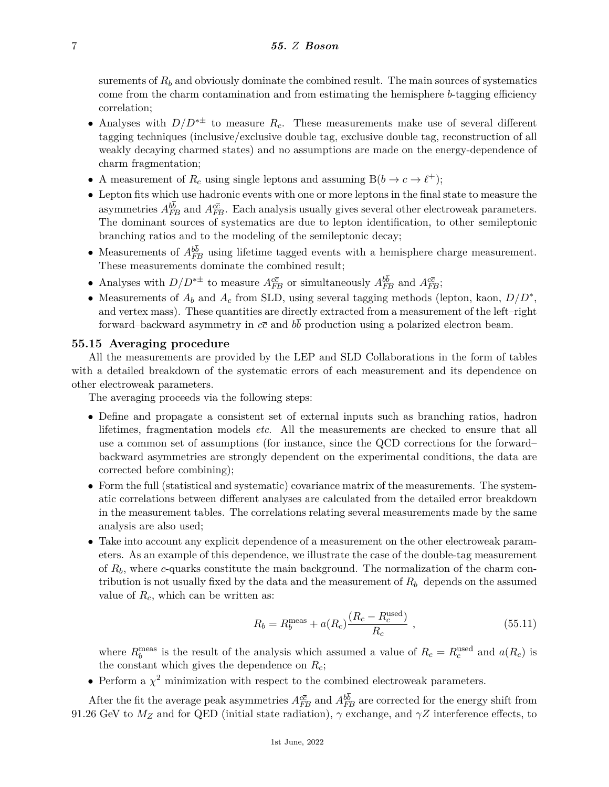surements of  $R_b$  and obviously dominate the combined result. The main sources of systematics come from the charm contamination and from estimating the hemisphere *b*-tagging efficiency correlation;

- Analyses with  $D/D^{*\pm}$  to measure  $R_c$ . These measurements make use of several different tagging techniques (inclusive/exclusive double tag, exclusive double tag, reconstruction of all weakly decaying charmed states) and no assumptions are made on the energy-dependence of charm fragmentation;
- A measurement of  $R_c$  using single leptons and assuming  $B(b \to c \to \ell^+)$ ;
- Lepton fits which use hadronic events with one or more leptons in the final state to measure the asymmetries  $A_{FB}^{bb}$  and  $A_{FB}^{c\bar{c}}$ . Each analysis usually gives several other electroweak parameters. The dominant sources of systematics are due to lepton identification, to other semileptonic branching ratios and to the modeling of the semileptonic decay;
- Measurements of  $A_{FB}^{bb}$  using lifetime tagged events with a hemisphere charge measurement. These measurements dominate the combined result;
- Analyses with  $D/D^{*\pm}$  to measure  $A_{FB}^{c\bar{c}}$  or simultaneously  $A_{FB}^{bb}$  and  $A_{FB}^{c\bar{c}}$ ;
- Measurements of  $A_b$  and  $A_c$  from SLD, using several tagging methods (lepton, kaon,  $D/D^*$ , and vertex mass). These quantities are directly extracted from a measurement of the left–right forward–backward asymmetry in  $c\bar{c}$  and  $b\bar{b}$  production using a polarized electron beam.

### **55.15 Averaging procedure**

All the measurements are provided by the LEP and SLD Collaborations in the form of tables with a detailed breakdown of the systematic errors of each measurement and its dependence on other electroweak parameters.

The averaging proceeds via the following steps:

- Define and propagate a consistent set of external inputs such as branching ratios, hadron lifetimes, fragmentation models *etc*. All the measurements are checked to ensure that all use a common set of assumptions (for instance, since the QCD corrections for the forward– backward asymmetries are strongly dependent on the experimental conditions, the data are corrected before combining);
- Form the full (statistical and systematic) covariance matrix of the measurements. The systematic correlations between different analyses are calculated from the detailed error breakdown in the measurement tables. The correlations relating several measurements made by the same analysis are also used;
- Take into account any explicit dependence of a measurement on the other electroweak parameters. As an example of this dependence, we illustrate the case of the double-tag measurement of *Rb*, where *c*-quarks constitute the main background. The normalization of the charm contribution is not usually fixed by the data and the measurement of  $R_b$  depends on the assumed value of *Rc*, which can be written as:

$$
R_b = R_b^{\text{meas}} + a(R_c) \frac{(R_c - R_c^{\text{used}})}{R_c} , \qquad (55.11)
$$

where  $R_b^{\text{meas}}$  is the result of the analysis which assumed a value of  $R_c = R_c^{\text{used}}$  and  $a(R_c)$  is the constant which gives the dependence on *Rc*;

• Perform a  $\chi^2$  minimization with respect to the combined electroweak parameters.

After the fit the average peak asymmetries  $A_{FB}^{c\bar{c}}$  and  $A_{FB}^{bb}$  are corrected for the energy shift from 91.26 GeV to  $M_Z$  and for QED (initial state radiation),  $\gamma$  exchange, and  $\gamma Z$  interference effects, to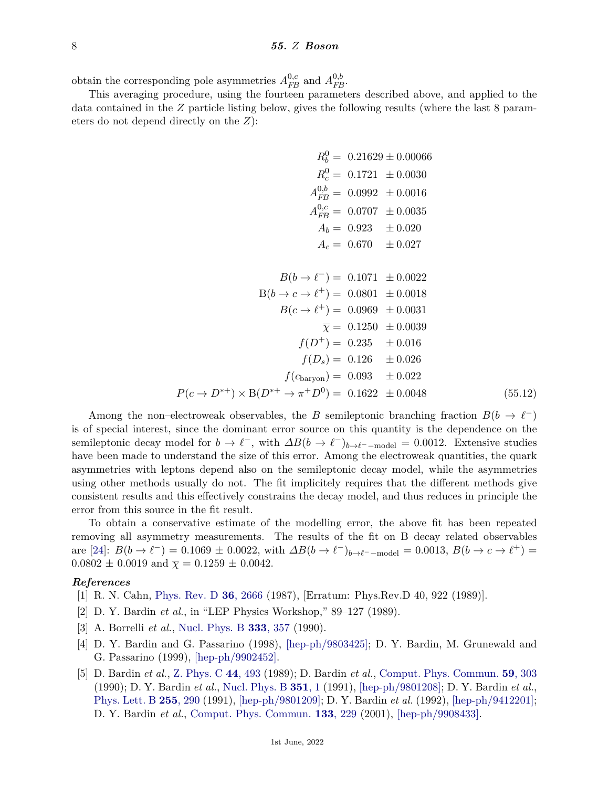obtain the corresponding pole asymmetries  $A_{FB}^{0,c}$  and  $A_{FB}^{0,b}$ .

This averaging procedure, using the fourteen parameters described above, and applied to the data contained in the *Z* particle listing below, gives the following results (where the last 8 parameters do not depend directly on the *Z*):

$$
R_b^0 = 0.21629 \pm 0.00066
$$
  
\n
$$
R_c^0 = 0.1721 \pm 0.0030
$$
  
\n
$$
A_{FB}^{0,b} = 0.0992 \pm 0.0016
$$
  
\n
$$
A_{FB}^{0,c} = 0.0707 \pm 0.0035
$$
  
\n
$$
A_b = 0.923 \pm 0.020
$$
  
\n
$$
A_c = 0.670 \pm 0.027
$$
  
\n
$$
B(b \rightarrow e^-) = 0.1071 \pm 0.0022
$$
  
\n
$$
B(b \rightarrow e \rightarrow e^+) = 0.0801 \pm 0.0018
$$
  
\n
$$
B(c \rightarrow e^+) = 0.0969 \pm 0.0031
$$
  
\n
$$
\overline{\chi} = 0.1250 \pm 0.0039
$$
  
\n
$$
f(D^+) = 0.235 \pm 0.016
$$
  
\n
$$
f(D_s) = 0.126 \pm 0.026
$$
  
\n
$$
f(c_{\text{baryon}}) = 0.093 \pm 0.022
$$
  
\n
$$
P(c \rightarrow D^{*+}) \times B(D^{*+} \rightarrow \pi^+ D^0) = 0.1622 \pm 0.0048
$$
 (55.12)

Among the non–electroweak observables, the *B* semileptonic branching fraction  $B(b \to \ell^-)$ is of special interest, since the dominant error source on this quantity is the dependence on the semileptonic decay model for  $b \to \ell^-$ , with  $\Delta B(b \to \ell^-)_{b \to \ell^--\text{model}} = 0.0012$ . Extensive studies have been made to understand the size of this error. Among the electroweak quantities, the quark asymmetries with leptons depend also on the semileptonic decay model, while the asymmetries using other methods usually do not. The fit implicitely requires that the different methods give consistent results and this effectively constrains the decay model, and thus reduces in principle the error from this source in the fit result.

To obtain a conservative estimate of the modelling error, the above fit has been repeated removing all asymmetry measurements. The results of the fit on B–decay related observables are [\[24\]](#page-8-11):  $B(b \to \ell^-) = 0.1069 \pm 0.0022$ , with  $\Delta B(b \to \ell^-)_{b \to \ell^--\text{model}} = 0.0013$ ,  $B(b \to c \to \ell^+) =$  $0.0802 \pm 0.0019$  and  $\overline{\chi} = 0.1259 \pm 0.0042$ .

#### <span id="page-7-0"></span>*References*

- [1] R. N. Cahn, [Phys. Rev. D](http://doi.org/10.1103/PhysRevD.36.2666) **36**[, 2666](http://doi.org/10.1103/PhysRevD.36.2666) (1987), [Erratum: Phys.Rev.D 40, 922 (1989)].
- [2] D. Y. Bardin *et al.*, in "LEP Physics Workshop," 89–127 (1989).
- <span id="page-7-1"></span>[3] A. Borrelli *et al.*, [Nucl. Phys. B](http://doi.org/10.1016/0550-3213(90)90042-C) **333**[, 357](http://doi.org/10.1016/0550-3213(90)90042-C) (1990).
- <span id="page-7-3"></span>[4] D. Y. Bardin and G. Passarino (1998), [\[hep-ph/9803425\];](https://arxiv.org/abs/hep-ph/9803425) D. Y. Bardin, M. Grunewald and G. Passarino (1999), [\[hep-ph/9902452\].](https://arxiv.org/abs/hep-ph/9902452)
- <span id="page-7-2"></span>[5] D. Bardin *et al.*, [Z. Phys. C](http://doi.org/10.1007/BF01415565) **44**[, 493](http://doi.org/10.1007/BF01415565) (1989); D. Bardin *et al.*, [Comput. Phys. Commun.](http://doi.org/10.1016/0010-4655(90)90179-5) **59**[, 303](http://doi.org/10.1016/0010-4655(90)90179-5) (1990); D. Y. Bardin *et al.*, [Nucl. Phys. B](http://doi.org/10.1016/0550-3213(91)90080-H) **[351](http://doi.org/10.1016/0550-3213(91)90080-H)**, 1 (1991), [\[hep-ph/9801208\];](https://arxiv.org/abs/hep-ph/9801208) D. Y. Bardin *et al.*, [Phys. Lett. B](http://doi.org/10.1016/0370-2693(91)90250-T) **255**[, 290](http://doi.org/10.1016/0370-2693(91)90250-T) (1991), [\[hep-ph/9801209\];](https://arxiv.org/abs/hep-ph/9801209) D. Y. Bardin *et al.* (1992), [\[hep-ph/9412201\];](https://arxiv.org/abs/hep-ph/9412201) D. Y. Bardin *et al.*, [Comput. Phys. Commun.](http://doi.org/10.1016/S0010-4655(00)00152-1) **133**[, 229](http://doi.org/10.1016/S0010-4655(00)00152-1) (2001), [\[hep-ph/9908433\].](https://arxiv.org/abs/hep-ph/9908433)